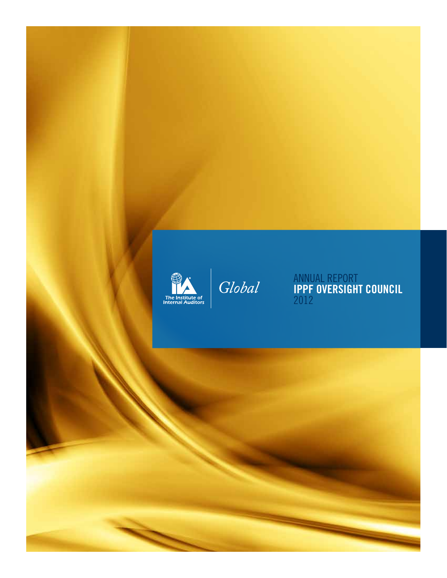

Global

Annual Report **IPPF Oversight Council** 2012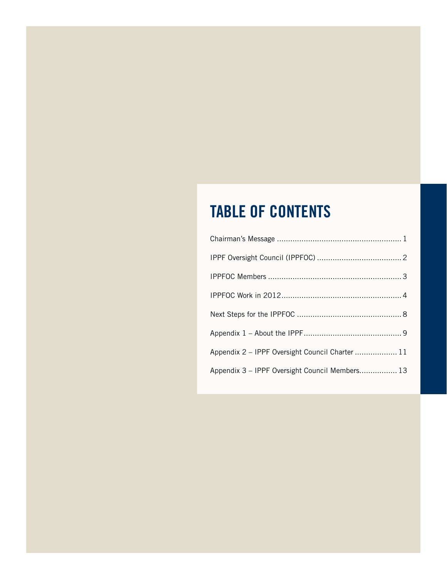### **Table of contents**

| Appendix 2 - IPPF Oversight Council Charter  11 |  |
|-------------------------------------------------|--|
| Appendix 3 - IPPF Oversight Council Members 13  |  |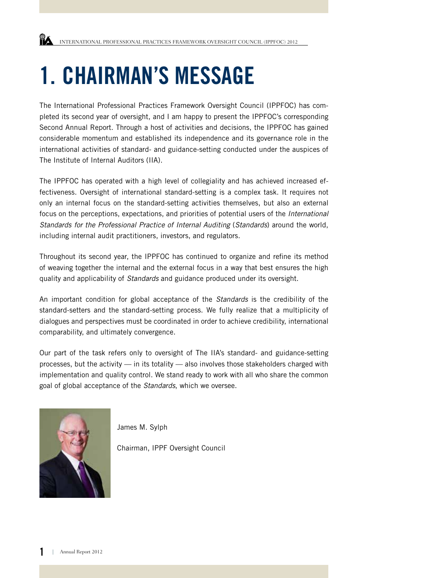### **1. CHAIRMAN'S MESSAGE**

The International Professional Practices Framework Oversight Council (IPPFOC) has completed its second year of oversight, and I am happy to present the IPPFOC's corresponding Second Annual Report. Through a host of activities and decisions, the IPPFOC has gained considerable momentum and established its independence and its governance role in the international activities of standard- and guidance-setting conducted under the auspices of The Institute of Internal Auditors (IIA).

The IPPFOC has operated with a high level of collegiality and has achieved increased effectiveness. Oversight of international standard-setting is a complex task. It requires not only an internal focus on the standard-setting activities themselves, but also an external focus on the perceptions, expectations, and priorities of potential users of the *International Standards for the Professional Practice of Internal Auditing* (*Standards*) around the world, including internal audit practitioners, investors, and regulators.

Throughout its second year, the IPPFOC has continued to organize and refine its method of weaving together the internal and the external focus in a way that best ensures the high quality and applicability of *Standards* and guidance produced under its oversight.

An important condition for global acceptance of the *Standards* is the credibility of the standard-setters and the standard-setting process. We fully realize that a multiplicity of dialogues and perspectives must be coordinated in order to achieve credibility, international comparability, and ultimately convergence.

Our part of the task refers only to oversight of The IIA's standard- and guidance-setting processes, but the activity — in its totality — also involves those stakeholders charged with implementation and quality control. We stand ready to work with all who share the common goal of global acceptance of the *Standards*, which we oversee.



James M. Sylph

Chairman, IPPF Oversight Council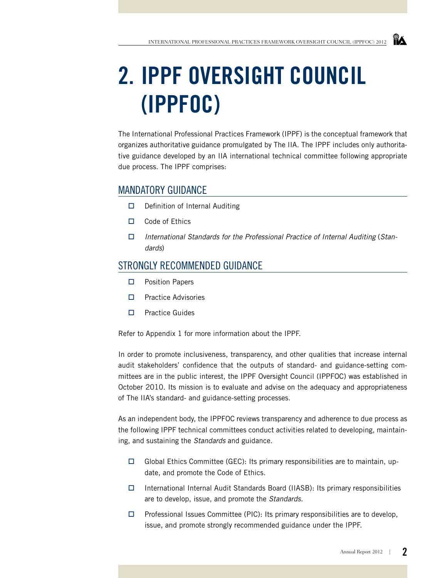## **2. IPPF Oversight Council (IPPFOC)**

The International Professional Practices Framework (IPPF) is the conceptual framework that organizes authoritative guidance promulgated by The IIA. The IPPF includes only authoritative guidance developed by an IIA international technical committee following appropriate due process. The IPPF comprises:

### MANDATORY GUIDANCF

- $\Box$  Definition of Internal Auditing
- □ Code of Ethics
- *International Standards for the Professional Practice of Internal Auditing* (*Standards*)

### Strongly Recommended Guidance

- **D** Position Papers
- $\square$  Practice Advisories
- $\Box$  Practice Guides

Refer to Appendix 1 for more information about the IPPF.

In order to promote inclusiveness, transparency, and other qualities that increase internal audit stakeholders' confidence that the outputs of standard- and guidance-setting committees are in the public interest, the IPPF Oversight Council (IPPFOC) was established in October 2010. Its mission is to evaluate and advise on the adequacy and appropriateness of The IIA's standard- and guidance-setting processes.

As an independent body, the IPPFOC reviews transparency and adherence to due process as the following IPPF technical committees conduct activities related to developing, maintaining, and sustaining the *Standards* and guidance.

- $\Box$  Global Ethics Committee (GEC): Its primary responsibilities are to maintain, update, and promote the Code of Ethics.
- International Internal Audit Standards Board (IIASB): Its primary responsibilities are to develop, issue, and promote the *Standards.*
- $\Box$  Professional Issues Committee (PIC): Its primary responsibilities are to develop, issue, and promote strongly recommended guidance under the IPPF.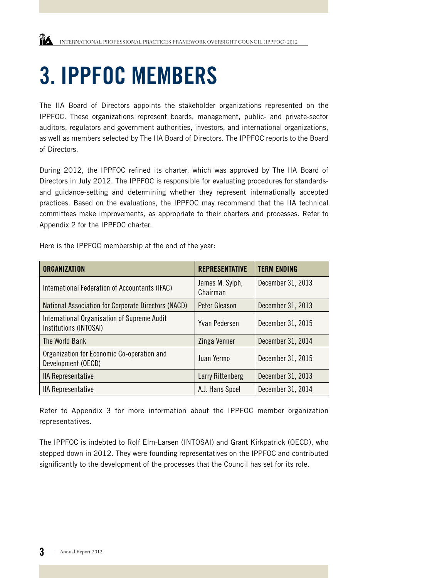### **3. IPPFOC Members**

The IIA Board of Directors appoints the stakeholder organizations represented on the IPPFOC. These organizations represent boards, management, public- and private-sector auditors, regulators and government authorities, investors, and international organizations, as well as members selected by The IIA Board of Directors. The IPPFOC reports to the Board of Directors.

During 2012, the IPPFOC refined its charter, which was approved by The IIA Board of Directors in July 2012. The IPPFOC is responsible for evaluating procedures for standardsand guidance-setting and determining whether they represent internationally accepted practices. Based on the evaluations, the IPPFOC may recommend that the IIA technical committees make improvements, as appropriate to their charters and processes. Refer to Appendix 2 for the IPPFOC charter.

Here is the IPPFOC membership at the end of the year:

| <b>ORGANIZATION</b>                                                   | <b>REPRESENTATIVE</b>       | <b>TERM ENDING</b> |
|-----------------------------------------------------------------------|-----------------------------|--------------------|
| International Federation of Accountants (IFAC)                        | James M. Sylph,<br>Chairman | December 31, 2013  |
| National Association for Corporate Directors (NACD)                   | <b>Peter Gleason</b>        | December 31, 2013  |
| International Organisation of Supreme Audit<br>Institutions (INTOSAI) | <b>Yvan Pedersen</b>        | December 31, 2015  |
| The World Bank                                                        | Zinga Venner                | December 31, 2014  |
| Organization for Economic Co-operation and<br>Development (OECD)      | Juan Yermo                  | December 31, 2015  |
| <b>IIA Representative</b>                                             | Larry Rittenberg            | December 31, 2013  |
| <b>IIA Representative</b>                                             | A.J. Hans Spoel             | December 31, 2014  |

Refer to Appendix 3 for more information about the IPPFOC member organization representatives.

The IPPFOC is indebted to Rolf Elm-Larsen (INTOSAI) and Grant Kirkpatrick (OECD), who stepped down in 2012. They were founding representatives on the IPPFOC and contributed significantly to the development of the processes that the Council has set for its role.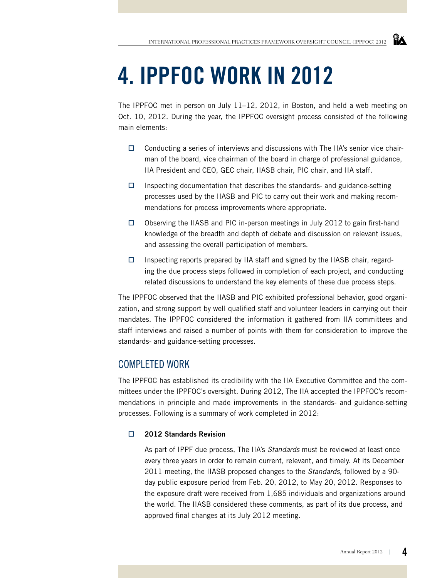### **4. IPPFOC Work in 2012**

The IPPFOC met in person on July 11–12, 2012, in Boston, and held a web meeting on Oct. 10, 2012. During the year, the IPPFOC oversight process consisted of the following main elements:

- $\Box$  Conducting a series of interviews and discussions with The IIA's senior vice chairman of the board, vice chairman of the board in charge of professional guidance, IIA President and CEO, GEC chair, IIASB chair, PIC chair, and IIA staff.
- $\Box$  Inspecting documentation that describes the standards- and guidance-setting processes used by the IIASB and PIC to carry out their work and making recommendations for process improvements where appropriate.
- $\Box$  Observing the IIASB and PIC in-person meetings in July 2012 to gain first-hand knowledge of the breadth and depth of debate and discussion on relevant issues, and assessing the overall participation of members.
- $\Box$  Inspecting reports prepared by IIA staff and signed by the IIASB chair, regarding the due process steps followed in completion of each project, and conducting related discussions to understand the key elements of these due process steps.

The IPPFOC observed that the IIASB and PIC exhibited professional behavior, good organization, and strong support by well qualified staff and volunteer leaders in carrying out their mandates. The IPPFOC considered the information it gathered from IIA committees and staff interviews and raised a number of points with them for consideration to improve the standards- and guidance-setting processes.

### Completed Work

The IPPFOC has established its credibility with the IIA Executive Committee and the committees under the IPPFOC's oversight. During 2012, The IIA accepted the IPPFOC's recommendations in principle and made improvements in the standards- and guidance-setting processes. Following is a summary of work completed in 2012:

#### **2012 Standards Revision**

As part of IPPF due process, The IIA's *Standards* must be reviewed at least once every three years in order to remain current, relevant, and timely. At its December 2011 meeting, the IIASB proposed changes to the *Standards,* followed by a 90 day public exposure period from Feb. 20, 2012, to May 20, 2012. Responses to the exposure draft were received from 1,685 individuals and organizations around the world. The IIASB considered these comments, as part of its due process, and approved final changes at its July 2012 meeting.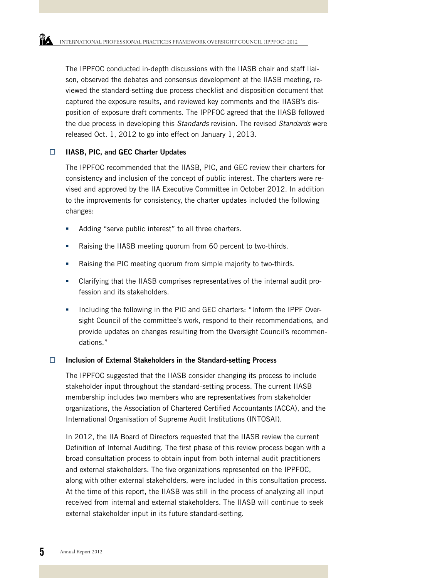The IPPFOC conducted in-depth discussions with the IIASB chair and staff liaison, observed the debates and consensus development at the IIASB meeting, reviewed the standard-setting due process checklist and disposition document that captured the exposure results, and reviewed key comments and the IIASB's disposition of exposure draft comments. The IPPFOC agreed that the IIASB followed the due process in developing this *Standards* revision. The revised *Standards* were released Oct. 1, 2012 to go into effect on January 1, 2013.

#### **IIASB, PIC, and GEC Charter Updates**

The IPPFOC recommended that the IIASB, PIC, and GEC review their charters for consistency and inclusion of the concept of public interest. The charters were revised and approved by the IIA Executive Committee in October 2012. In addition to the improvements for consistency, the charter updates included the following changes:

- Adding "serve public interest" to all three charters.
- Raising the IIASB meeting quorum from 60 percent to two-thirds.
- Raising the PIC meeting quorum from simple majority to two-thirds.
- Clarifying that the IIASB comprises representatives of the internal audit profession and its stakeholders.
- Including the following in the PIC and GEC charters: "Inform the IPPF Oversight Council of the committee's work, respond to their recommendations, and provide updates on changes resulting from the Oversight Council's recommendations."

#### **Inclusion of External Stakeholders in the Standard-setting Process**

The IPPFOC suggested that the IIASB consider changing its process to include stakeholder input throughout the standard-setting process. The current IIASB membership includes two members who are representatives from stakeholder organizations, the Association of Chartered Certified Accountants (ACCA), and the International Organisation of Supreme Audit Institutions (INTOSAI).

In 2012, the IIA Board of Directors requested that the IIASB review the current Definition of Internal Auditing. The first phase of this review process began with a broad consultation process to obtain input from both internal audit practitioners and external stakeholders. The five organizations represented on the IPPFOC, along with other external stakeholders, were included in this consultation process. At the time of this report, the IIASB was still in the process of analyzing all input received from internal and external stakeholders. The IIASB will continue to seek external stakeholder input in its future standard-setting.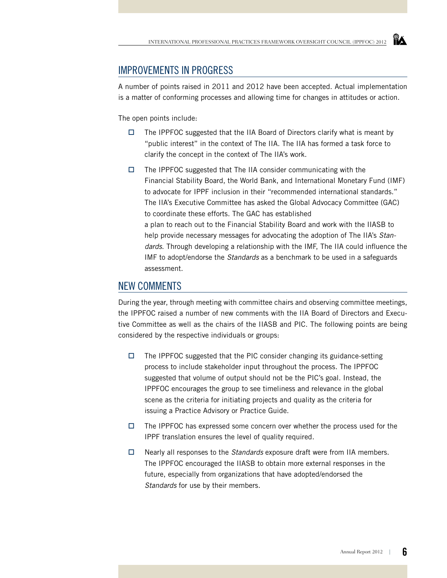#### Improvements in Progress

A number of points raised in 2011 and 2012 have been accepted. Actual implementation is a matter of conforming processes and allowing time for changes in attitudes or action.

The open points include:

- $\Box$  The IPPFOC suggested that the IIA Board of Directors clarify what is meant by "public interest" in the context of The IIA. The IIA has formed a task force to clarify the concept in the context of The IIA's work.
- $\Box$  The IPPFOC suggested that The IIA consider communicating with the Financial Stability Board, the World Bank, and International Monetary Fund (IMF) to advocate for IPPF inclusion in their "recommended international standards." The IIA's Executive Committee has asked the Global Advocacy Committee (GAC) to coordinate these efforts. The GAC has established a plan to reach out to the Financial Stability Board and work with the IIASB to help provide necessary messages for advocating the adoption of The IIA's *Standards*. Through developing a relationship with the IMF, The IIA could influence the IMF to adopt/endorse the *Standards* as a benchmark to be used in a safeguards assessment.

#### New Comments

During the year, through meeting with committee chairs and observing committee meetings, the IPPFOC raised a number of new comments with the IIA Board of Directors and Executive Committee as well as the chairs of the IIASB and PIC. The following points are being considered by the respective individuals or groups:

- $\Box$  The IPPFOC suggested that the PIC consider changing its guidance-setting process to include stakeholder input throughout the process. The IPPFOC suggested that volume of output should not be the PIC's goal. Instead, the IPPFOC encourages the group to see timeliness and relevance in the global scene as the criteria for initiating projects and quality as the criteria for issuing a Practice Advisory or Practice Guide.
- $\Box$  The IPPFOC has expressed some concern over whether the process used for the IPPF translation ensures the level of quality required.
- Nearly all responses to the *Standards* exposure draft were from IIA members. The IPPFOC encouraged the IIASB to obtain more external responses in the future, especially from organizations that have adopted/endorsed the *Standards* for use by their members.

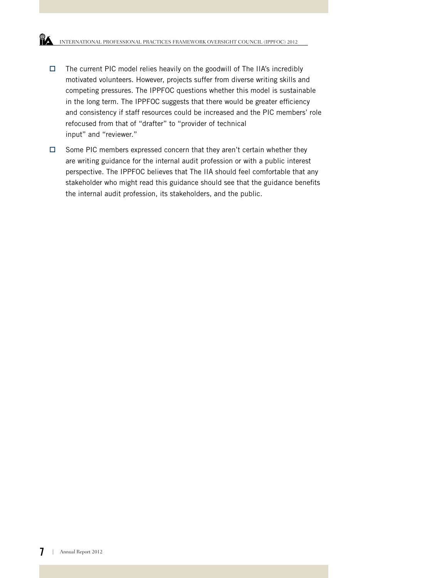- $\Box$  The current PIC model relies heavily on the goodwill of The IIA's incredibly motivated volunteers. However, projects suffer from diverse writing skills and competing pressures. The IPPFOC questions whether this model is sustainable in the long term. The IPPFOC suggests that there would be greater efficiency and consistency if staff resources could be increased and the PIC members' role refocused from that of "drafter" to "provider of technical input" and "reviewer."
- $\Box$  Some PIC members expressed concern that they aren't certain whether they are writing guidance for the internal audit profession or with a public interest perspective. The IPPFOC believes that The IIA should feel comfortable that any stakeholder who might read this guidance should see that the guidance benefits the internal audit profession, its stakeholders, and the public.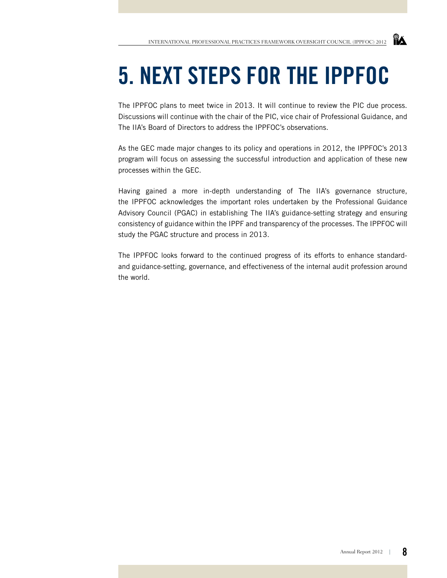## **5. Next Steps for the IPPFOC**

The IPPFOC plans to meet twice in 2013. It will continue to review the PIC due process. Discussions will continue with the chair of the PIC, vice chair of Professional Guidance, and The IIA's Board of Directors to address the IPPFOC's observations.

As the GEC made major changes to its policy and operations in 2012, the IPPFOC's 2013 program will focus on assessing the successful introduction and application of these new processes within the GEC.

Having gained a more in-depth understanding of The IIA's governance structure, the IPPFOC acknowledges the important roles undertaken by the Professional Guidance Advisory Council (PGAC) in establishing The IIA's guidance-setting strategy and ensuring consistency of guidance within the IPPF and transparency of the processes. The IPPFOC will study the PGAC structure and process in 2013.

The IPPFOC looks forward to the continued progress of its efforts to enhance standardand guidance-setting, governance, and effectiveness of the internal audit profession around the world.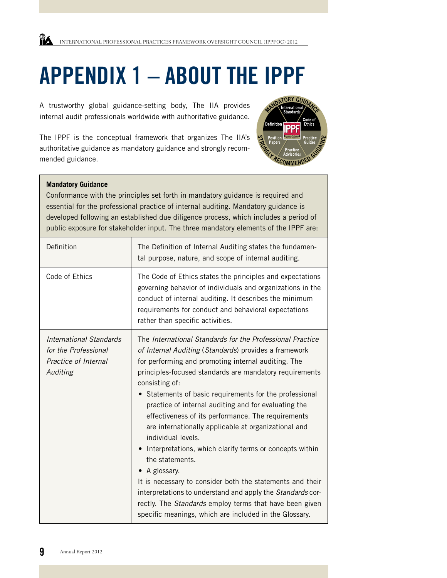## **Appendix 1 – About the IPPF**

A trustworthy global guidance-setting body, The IIA provides internal audit professionals worldwide with authoritative guidance.

The IPPF is the conceptual framework that organizes The IIA's authoritative guidance as mandatory guidance and strongly recommended guidance.



#### **Mandatory Guidance**

Conformance with the principles set forth in mandatory guidance is required and essential for the professional practice of internal auditing. Mandatory guidance is developed following an established due diligence process, which includes a period of public exposure for stakeholder input. The three mandatory elements of the IPPF are:

| Definition                                                                          | The Definition of Internal Auditing states the fundamen-<br>tal purpose, nature, and scope of internal auditing.                                                                                                                                                                                                                                                                                                                                                                                                                                                                                                                                                                                                                                                                                                                                             |
|-------------------------------------------------------------------------------------|--------------------------------------------------------------------------------------------------------------------------------------------------------------------------------------------------------------------------------------------------------------------------------------------------------------------------------------------------------------------------------------------------------------------------------------------------------------------------------------------------------------------------------------------------------------------------------------------------------------------------------------------------------------------------------------------------------------------------------------------------------------------------------------------------------------------------------------------------------------|
| Code of Ethics                                                                      | The Code of Ethics states the principles and expectations<br>governing behavior of individuals and organizations in the<br>conduct of internal auditing. It describes the minimum<br>requirements for conduct and behavioral expectations<br>rather than specific activities.                                                                                                                                                                                                                                                                                                                                                                                                                                                                                                                                                                                |
| International Standards<br>for the Professional<br>Practice of Internal<br>Auditing | The International Standards for the Professional Practice<br>of Internal Auditing (Standards) provides a framework<br>for performing and promoting internal auditing. The<br>principles-focused standards are mandatory requirements<br>consisting of:<br>• Statements of basic requirements for the professional<br>practice of internal auditing and for evaluating the<br>effectiveness of its performance. The requirements<br>are internationally applicable at organizational and<br>individual levels.<br>Interpretations, which clarify terms or concepts within<br>the statements.<br>• A glossary.<br>It is necessary to consider both the statements and their<br>interpretations to understand and apply the Standards cor-<br>rectly. The Standards employ terms that have been given<br>specific meanings, which are included in the Glossary. |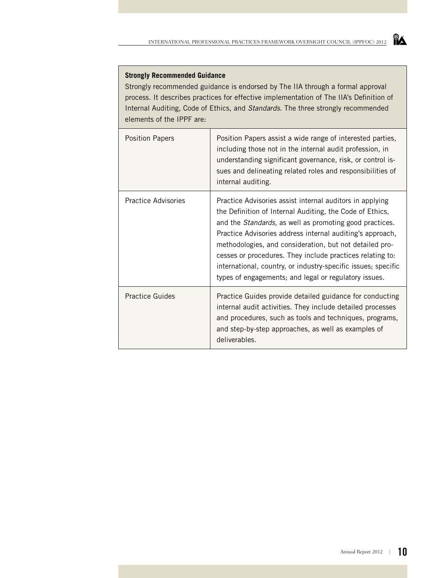#### **Strongly Recommended Guidance**

Strongly recommended guidance is endorsed by The IIA through a formal approval process. It describes practices for effective implementation of The IIA's Definition of Internal Auditing, Code of Ethics, and *Standards*. The three strongly recommended elements of the IPPF are:

| <b>Position Papers</b>     | Position Papers assist a wide range of interested parties,<br>including those not in the internal audit profession, in<br>understanding significant governance, risk, or control is-<br>sues and delineating related roles and responsibilities of<br>internal auditing.                                                                                                                                                                                                                               |
|----------------------------|--------------------------------------------------------------------------------------------------------------------------------------------------------------------------------------------------------------------------------------------------------------------------------------------------------------------------------------------------------------------------------------------------------------------------------------------------------------------------------------------------------|
| <b>Practice Advisories</b> | Practice Advisories assist internal auditors in applying<br>the Definition of Internal Auditing, the Code of Ethics,<br>and the <i>Standards</i> , as well as promoting good practices.<br>Practice Advisories address internal auditing's approach,<br>methodologies, and consideration, but not detailed pro-<br>cesses or procedures. They include practices relating to:<br>international, country, or industry-specific issues; specific<br>types of engagements; and legal or regulatory issues. |
| <b>Practice Guides</b>     | Practice Guides provide detailed guidance for conducting<br>internal audit activities. They include detailed processes<br>and procedures, such as tools and techniques, programs,<br>and step-by-step approaches, as well as examples of<br>deliverables.                                                                                                                                                                                                                                              |

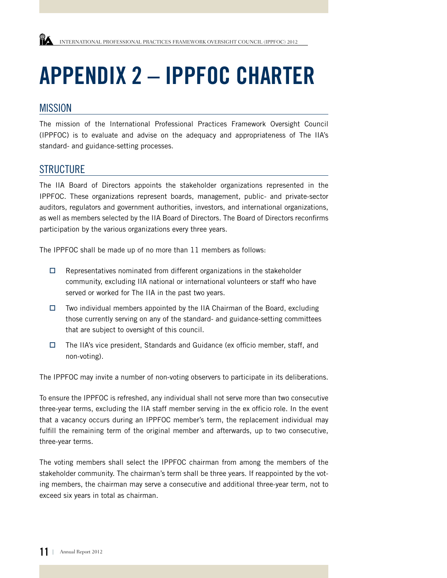# **Appendix 2 – IPPFOC Charter**

#### **MISSION**

The mission of the International Professional Practices Framework Oversight Council (IPPFOC) is to evaluate and advise on the adequacy and appropriateness of The IIA's standard- and guidance-setting processes.

#### **STRUCTURE**

The IIA Board of Directors appoints the stakeholder organizations represented in the IPPFOC. These organizations represent boards, management, public- and private-sector auditors, regulators and government authorities, investors, and international organizations, as well as members selected by the IIA Board of Directors. The Board of Directors reconfirms participation by the various organizations every three years.

The IPPFOC shall be made up of no more than 11 members as follows:

- $\Box$  Representatives nominated from different organizations in the stakeholder community, excluding IIA national or international volunteers or staff who have served or worked for The IIA in the past two years.
- $\Box$  Two individual members appointed by the IIA Chairman of the Board, excluding those currently serving on any of the standard- and guidance-setting committees that are subject to oversight of this council.
- The IIA's vice president, Standards and Guidance (ex officio member, staff, and non-voting).

The IPPFOC may invite a number of non-voting observers to participate in its deliberations.

To ensure the IPPFOC is refreshed, any individual shall not serve more than two consecutive three-year terms, excluding the IIA staff member serving in the ex officio role. In the event that a vacancy occurs during an IPPFOC member's term, the replacement individual may fulfill the remaining term of the original member and afterwards, up to two consecutive, three-year terms.

The voting members shall select the IPPFOC chairman from among the members of the stakeholder community. The chairman's term shall be three years. If reappointed by the voting members, the chairman may serve a consecutive and additional three-year term, not to exceed six years in total as chairman.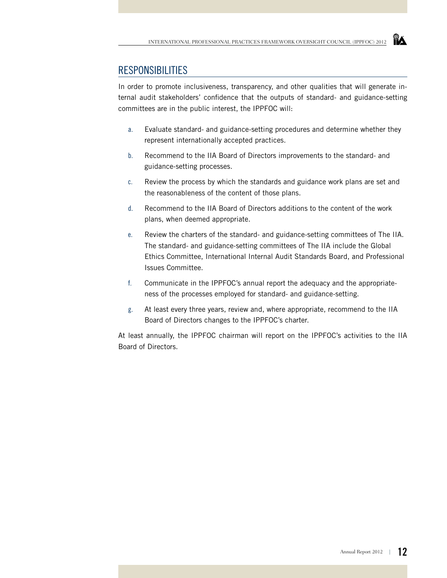#### **RESPONSIBILITIES**

In order to promote inclusiveness, transparency, and other qualities that will generate internal audit stakeholders' confidence that the outputs of standard- and guidance-setting committees are in the public interest, the IPPFOC will:

- a. Evaluate standard- and guidance-setting procedures and determine whether they represent internationally accepted practices.
- b. Recommend to the IIA Board of Directors improvements to the standard- and guidance-setting processes.
- c. Review the process by which the standards and guidance work plans are set and the reasonableness of the content of those plans.
- d. Recommend to the IIA Board of Directors additions to the content of the work plans, when deemed appropriate.
- e. Review the charters of the standard- and guidance-setting committees of The IIA. The standard- and guidance-setting committees of The IIA include the Global Ethics Committee, International Internal Audit Standards Board, and Professional Issues Committee.
- f. Communicate in the IPPFOC's annual report the adequacy and the appropriateness of the processes employed for standard- and guidance-setting.
- g. At least every three years, review and, where appropriate, recommend to the IIA Board of Directors changes to the IPPFOC's charter.

At least annually, the IPPFOC chairman will report on the IPPFOC's activities to the IIA Board of Directors.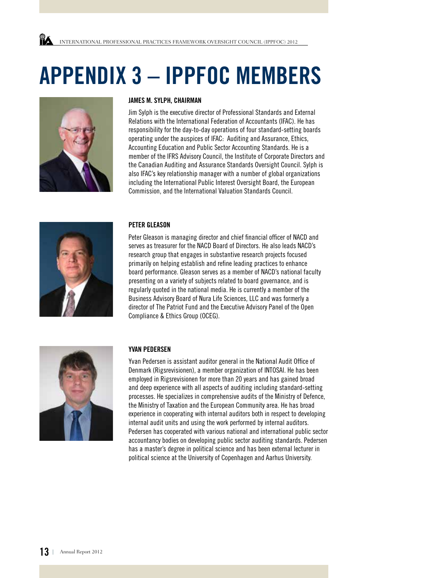## **Appendix 3 – IPPFOC Members**



#### **James M. Sylph, Chairman**

Jim Sylph is the executive director of Professional Standards and External Relations with the International Federation of Accountants (IFAC). He has responsibility for the day-to-day operations of four standard-setting boards operating under the auspices of IFAC: Auditing and Assurance, Ethics, Accounting Education and Public Sector Accounting Standards. He is a member of the IFRS Advisory Council, the Institute of Corporate Directors and the Canadian Auditing and Assurance Standards Oversight Council. Sylph is also IFAC's key relationship manager with a number of global organizations including the International Public Interest Oversight Board, the European Commission, and the International Valuation Standards Council.



#### **Peter Gleason**

Peter Gleason is managing director and chief financial officer of NACD and serves as treasurer for the NACD Board of Directors. He also leads NACD's research group that engages in substantive research projects focused primarily on helping establish and refine leading practices to enhance board performance. Gleason serves as a member of NACD's national faculty presenting on a variety of subjects related to board governance, and is regularly quoted in the national media. He is currently a member of the Business Advisory Board of Nura Life Sciences, LLC and was formerly a director of The Patriot Fund and the Executive Advisory Panel of the Open Compliance & Ethics Group (OCEG).



#### **Yvan Pedersen**

Yvan Pedersen is assistant auditor general in the National Audit Office of Denmark (Rigsrevisionen), a member organization of INTOSAI. He has been employed in Rigsrevisionen for more than 20 years and has gained broad and deep experience with all aspects of auditing including standard-setting processes. He specializes in comprehensive audits of the Ministry of Defence, the Ministry of Taxation and the European Community area. He has broad experience in cooperating with internal auditors both in respect to developing internal audit units and using the work performed by internal auditors. Pedersen has cooperated with various national and international public sector accountancy bodies on developing public sector auditing standards. Pedersen has a master's degree in political science and has been external lecturer in political science at the University of Copenhagen and Aarhus University.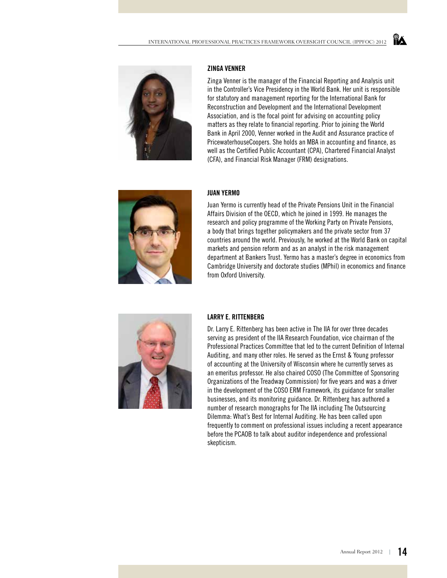

#### **Zinga Venner**

Zinga Venner is the manager of the Financial Reporting and Analysis unit in the Controller's Vice Presidency in the World Bank. Her unit is responsible for statutory and management reporting for the International Bank for Reconstruction and Development and the International Development Association, and is the focal point for advising on accounting policy matters as they relate to financial reporting. Prior to joining the World Bank in April 2000, Venner worked in the Audit and Assurance practice of PricewaterhouseCoopers. She holds an MBA in accounting and finance, as well as the Certified Public Accountant (CPA), Chartered Financial Analyst (CFA), and Financial Risk Manager (FRM) designations.

ĭÂ



#### **Juan Yermo**

Juan Yermo is currently head of the Private Pensions Unit in the Financial Affairs Division of the OECD, which he joined in 1999. He manages the research and policy programme of the Working Party on Private Pensions, a body that brings together policymakers and the private sector from 37 countries around the world. Previously, he worked at the World Bank on capital markets and pension reform and as an analyst in the risk management department at Bankers Trust. Yermo has a master's degree in economics from Cambridge University and doctorate studies (MPhil) in economics and finance from Oxford University.



#### **Larry E. Rittenberg**

Dr. Larry E. Rittenberg has been active in The IIA for over three decades serving as president of the IIA Research Foundation, vice chairman of the Professional Practices Committee that led to the current Definition of Internal Auditing, and many other roles. He served as the Ernst & Young professor of accounting at the University of Wisconsin where he currently serves as an emeritus professor. He also chaired COSO (The Committee of Sponsoring Organizations of the Treadway Commission) for five years and was a driver in the development of the COSO ERM Framework, its guidance for smaller businesses, and its monitoring guidance. Dr. Rittenberg has authored a number of research monographs for The IIA including The Outsourcing Dilemma: What's Best for Internal Auditing. He has been called upon frequently to comment on professional issues including a recent appearance before the PCAOB to talk about auditor independence and professional skepticism.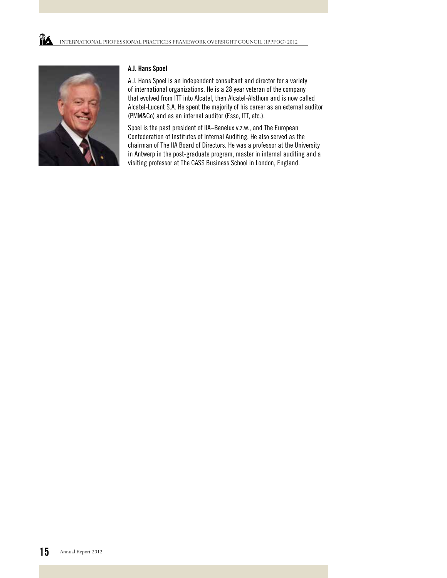

#### **A.J. Hans Spoel**

A.J. Hans Spoel is an independent consultant and director for a variety of international organizations. He is a 28 year veteran of the company that evolved from ITT into Alcatel, then Alcatel-Alsthom and is now called Alcatel-Lucent S.A. He spent the majority of his career as an external auditor (PMM&Co) and as an internal auditor (Esso, ITT, etc.).

Spoel is the past president of IIA–Benelux v.z.w., and The European Confederation of Institutes of Internal Auditing. He also served as the chairman of The IIA Board of Directors. He was a professor at the University in Antwerp in the post-graduate program, master in internal auditing and a visiting professor at The CASS Business School in London, England.